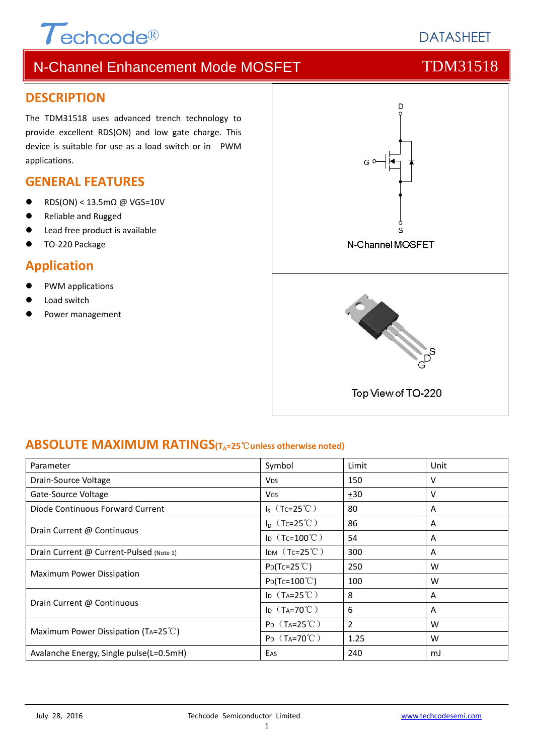# $\tau$ echcode®

## N-Channel Enhancement Mode MOSFET TOM31518

#### **DESCRIPTION**

The TDM31518 uses advanced trench technology to provide excellent RDS(ON) and low gate charge. This device is suitable for use as a load switch or in PWM applications.

#### **GENERAL FEATURES**

- RDS(ON) < 13.5mΩ @ VGS=10V
- Reliable and Rugged
- Lead free product is available
- TO‐220 Package

### **Application**

- PWM applications
- Load switch
- Power management



#### **ABSOLUTE MAXIMUM RATINGS(TA=25**℃**unless otherwise noted)**

| Parameter                                     | Symbol                             | Limit | Unit |
|-----------------------------------------------|------------------------------------|-------|------|
| Drain-Source Voltage                          | <b>V<sub>DS</sub></b>              | 150   | v    |
| Gate-Source Voltage                           | V <sub>GS</sub>                    | $+30$ | v    |
| Diode Continuous Forward Current              | $I_S$ (Tc=25°C)<br>80              |       | A    |
|                                               | $I_D$ (Tc=25°C)                    | 86    | A    |
| Drain Current @ Continuous                    | I <sub>D</sub> $(Tc=100^{\circ}C)$ | 54    | A    |
| Drain Current @ Current-Pulsed (Note 1)       | IDM $(Tc=25^{\circ}C)$             | 300   | A    |
|                                               | $P_{D}(Tc=25^{\circ}C)$            | 250   | W    |
| Maximum Power Dissipation                     | $P_D(Tc=100^{\circ}C)$             | 100   | W    |
|                                               | ID $(T_A=25^{\circ}\text{C})$      | 8     | A    |
| Drain Current @ Continuous                    | ID $(T_A=70^{\circ}C)$             | 6     | A    |
|                                               | $P_{D}$ (T <sub>A</sub> =25°C)     | 2     | W    |
| Maximum Power Dissipation (TA=25 $\degree$ C) | $P_D$ (T <sub>A</sub> =70°C)       | 1.25  | W    |
| Avalanche Energy, Single pulse(L=0.5mH)       | EAS                                | 240   | mJ   |

# **DATASHEET**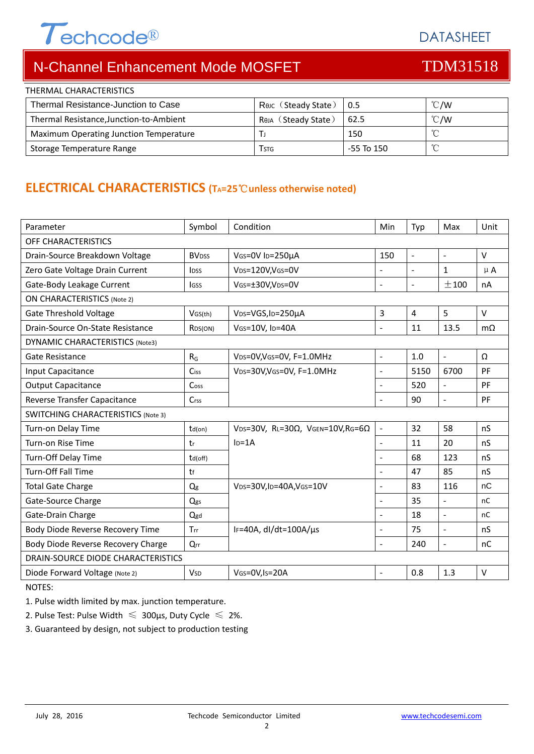# $T$ echcode®

DATASHEET

# N-Channel Enhancement Mode MOSFET TOM31518

| THERMAL CHARACTERISTICS                 |                     |             |               |  |
|-----------------------------------------|---------------------|-------------|---------------|--|
| Thermal Resistance-Junction to Case     | Rouc (Steady State) | $\vert 0.5$ | $\degree$ C/W |  |
| Thermal Resistance, Junction-to-Ambient | Reja (Steady State) | 62.5        | $\degree$ C/W |  |
| Maximum Operating Junction Temperature  |                     | 150         |               |  |
| Storage Temperature Range               | Tstg                | -55 To 150  |               |  |

#### **ELECTRICAL CHARACTERISTICS (TA=25**℃**unless otherwise noted)**

| Parameter                                 | Symbol                  | Condition                                         | Min                      | Typ                  | Max                  | Unit      |
|-------------------------------------------|-------------------------|---------------------------------------------------|--------------------------|----------------------|----------------------|-----------|
| <b>OFF CHARACTERISTICS</b>                |                         |                                                   |                          |                      |                      |           |
| Drain-Source Breakdown Voltage            | <b>BV<sub>DSS</sub></b> | VGS=0V ID=250µA<br>150                            |                          | $\ddot{\phantom{1}}$ | $\sim$               | $\vee$    |
| Zero Gate Voltage Drain Current           | <b>l</b> <sub>DSS</sub> | VDS=120V,VGS=0V                                   |                          |                      | $\mathbf{1}$         | $\mu$ A   |
| Gate-Body Leakage Current                 | <b>IGSS</b>             | VGs=±30V,VDs=0V                                   | $\overline{a}$           | $\ddot{\phantom{1}}$ | ±100                 | nA        |
| <b>ON CHARACTERISTICS (Note 2)</b>        |                         |                                                   |                          |                      |                      |           |
| <b>Gate Threshold Voltage</b>             | VGS(th)                 | VDS=VGS, ID=250µA                                 | 3                        | 4                    | 5                    | $\vee$    |
| Drain-Source On-State Resistance          | RDS(ON)                 | VGS=10V, ID=40A                                   | $\mathbf{r}$             | 11                   | 13.5                 | $m\Omega$ |
| <b>DYNAMIC CHARACTERISTICS (Note3)</b>    |                         |                                                   |                          |                      |                      |           |
| Gate Resistance                           | $R_G$                   | VDS=0V, VGS=0V, F=1.0MHz                          | $\blacksquare$           | 1.0                  | $\blacksquare$       | Ω         |
| Input Capacitance                         | Ciss                    | VDS=30V, VGS=0V, F=1.0MHz                         | $\blacksquare$           | 5150                 | 6700                 | PF        |
| <b>Output Capacitance</b>                 | Coss                    |                                                   | $\blacksquare$           | 520                  | $\ddot{\phantom{1}}$ | PF        |
| Reverse Transfer Capacitance              | $C$ rss                 |                                                   |                          | 90                   | $\sim$               | PF        |
| <b>SWITCHING CHARACTERISTICS (Note 3)</b> |                         |                                                   |                          |                      |                      |           |
| Turn-on Delay Time                        | $td($ on $)$            | VDS=30V, RL=30 $\Omega$ , VGEN=10V, RG=6 $\Omega$ |                          | 32                   | 58                   | nS        |
| Turn-on Rise Time                         | tr                      | $I_D = 1A$                                        | $\overline{\phantom{a}}$ | 11                   | 20                   | nS        |
| Turn-Off Delay Time                       | td(off)                 |                                                   | $\blacksquare$           | 68                   | 123                  | nS        |
| <b>Turn-Off Fall Time</b>                 | tf                      |                                                   | $\blacksquare$           | 47                   | 85                   | nS        |
| <b>Total Gate Charge</b>                  | Q <sub>g</sub>          | VDS=30V,ID=40A,VGS=10V                            | $\overline{\phantom{a}}$ | 83                   | 116                  | nC        |
| Gate-Source Charge                        | Qgs                     |                                                   | $\blacksquare$           | 35                   | $\overline{a}$       | nC        |
| Gate-Drain Charge                         | $Q$ gd                  |                                                   | $\sim$                   | 18                   | $\blacksquare$       | nC        |
| Body Diode Reverse Recovery Time          | Trr                     | IF=40A, $dl/dt=100A/\mu s$                        | $\overline{\phantom{a}}$ | 75                   | $\blacksquare$       | nS        |
| Body Diode Reverse Recovery Charge        | Qrr                     |                                                   | $\blacksquare$           | 240                  | $\blacksquare$       | nC        |
| DRAIN-SOURCE DIODE CHARACTERISTICS        |                         |                                                   |                          |                      |                      |           |
| Diode Forward Voltage (Note 2)            | <b>V<sub>SD</sub></b>   | VGS=0V, Is=20A                                    | $\overline{\phantom{a}}$ | 0.8                  | 1.3                  | $\vee$    |
| NOTFC.                                    |                         |                                                   |                          |                      |                      |           |

NOTES:

1. Pulse width limited by max. junction temperature.

2. Pulse Test: Pulse Width  $\leq 300$ μs, Duty Cycle  $\leq 2\%$ .

3. Guaranteed by design, not subject to production testing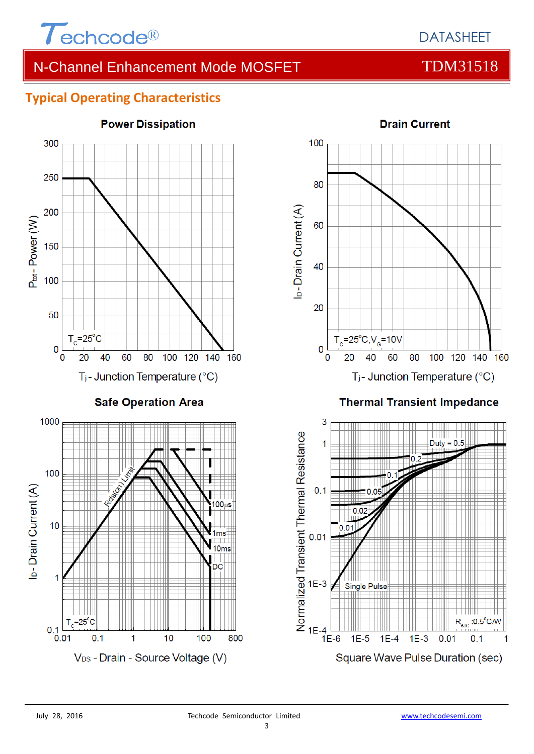

#### **Typical Operating Characteristics**





#### **Thermal Transient Impedance**

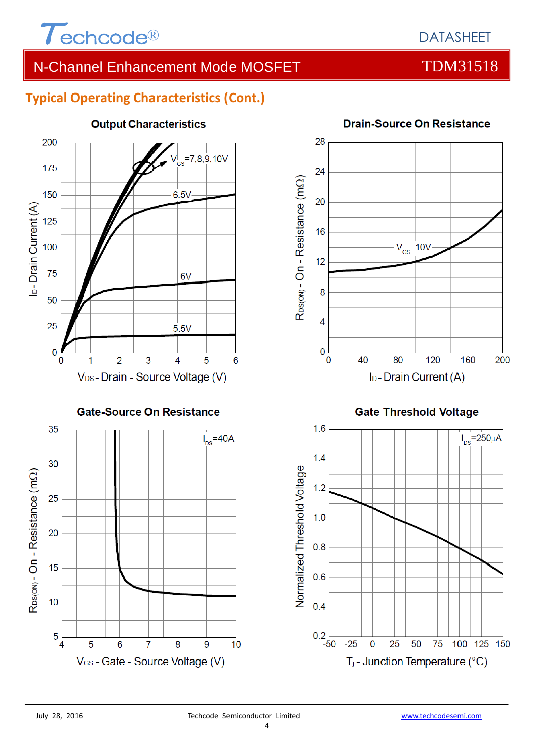

#### **Typical Operating Characteristics (Cont.)**





#### **Drain-Source On Resistance**

**Gate Threshold Voltage** 



5

 $\overline{4}$ 

5

6

 $\overline{7}$ 

V<sub>GS</sub> - Gate - Source Voltage (V)

 $10$ 

8

9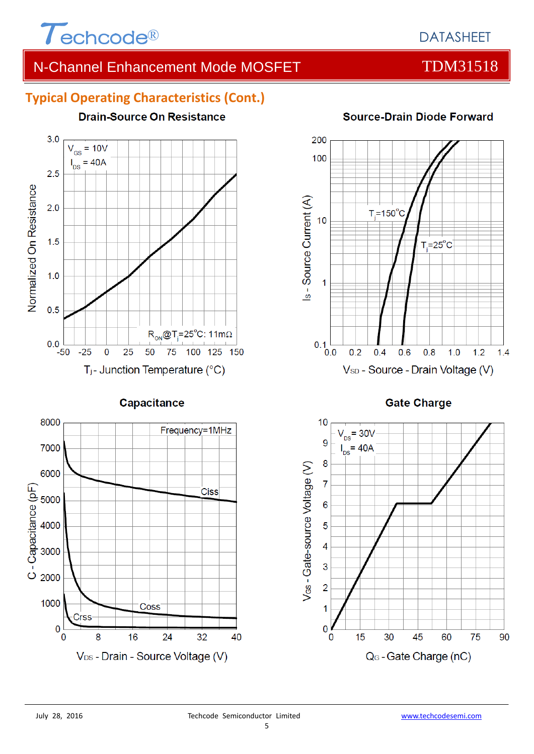

### DATASHEET

### N-Channel Enhancement Mode MOSFET TOM31518

#### **Typical Operating Characteristics (Cont.)**



#### Capacitance





#### **Source-Drain Diode Forward**

**Gate Charge** 

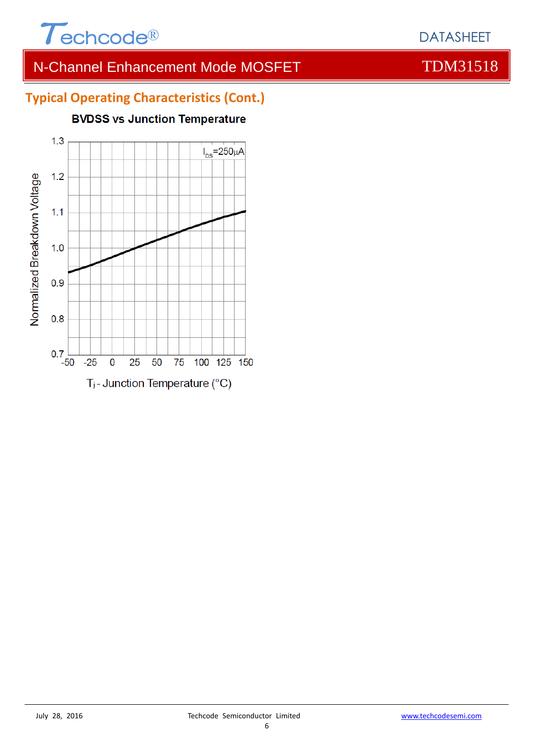

### **Typical Operating Characteristics (Cont.)**

#### **BVDSS vs Junction Temperature**



#### DATASHEET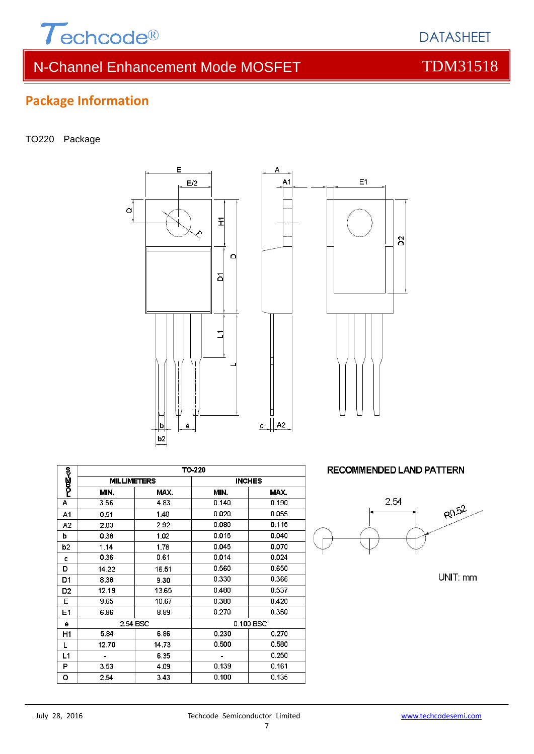

### **Package Information**

#### TO220 Package





Δ

|                | TO-220             |       |               |       |  |
|----------------|--------------------|-------|---------------|-------|--|
| ~~<br>P002~0   | <b>MILLIMETERS</b> |       | <b>INCHES</b> |       |  |
|                | MIN.               | MAX.  | MIN.          | MAX.  |  |
| А              | 3.56               | 4.83  | 0.140         | 0.190 |  |
| A1             | 0.51               | 1.40  | 0.020         | 0.055 |  |
| A2             | 2.03               | 2.92  | 0.080         | 0.115 |  |
| b              | 0.38               | 1.02  | 0.015         | 0.040 |  |
| b <sub>2</sub> | 1.14               | 1.78  | 0.045         | 0.070 |  |
| c              | 0.36               | 0.61  | 0.014         | 0.024 |  |
| D              | 14.22              | 16.51 | 0.560         | 0.650 |  |
| D1             | 8.38               | 9.30  | 0.330         | 0.366 |  |
| D <sub>2</sub> | 12.19              | 13.65 | 0.480         | 0.537 |  |
| Е              | 9.65               | 10.67 | 0.380         | 0.420 |  |
| E1             | 6.86               | 8.89  | 0.270         | 0.350 |  |
| е              | 2.54 BSC           |       | 0.100 BSC     |       |  |
| H1             | 5.84               | 6.86  | 0.230         | 0.270 |  |
| L              | 12.70              | 14.73 | 0.500         | 0.580 |  |
| L1             |                    | 6.35  |               | 0.250 |  |
| P              | 3.53               | 4.09  | 0.139         | 0.161 |  |
| Q              | 2.54               | 3.43  | 0.100         | 0.135 |  |

**RECOMMENDED LAND PATTERN** 



UNIT: mm

DATASHEET